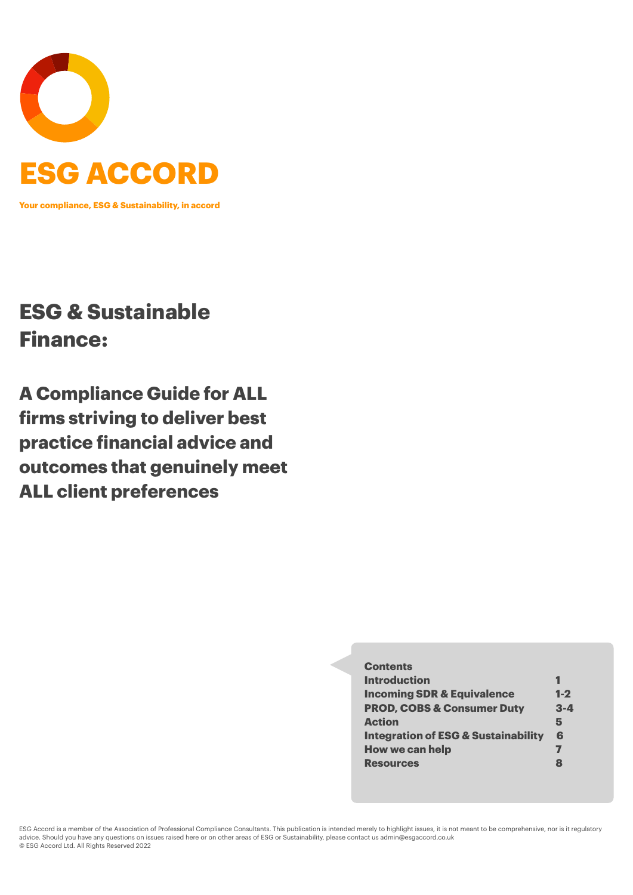

**Your compliance, ESG & Sustainability, in accord**

# **ESG & Sustainable Finance:**

**A Compliance Guide for ALL firms striving to deliver best practice financial advice and outcomes that genuinely meet ALL client preferences**

#### **Contents**

| <b>Introduction</b>                            |              |
|------------------------------------------------|--------------|
| <b>Incoming SDR &amp; Equivalence</b>          | $1 - 2$      |
| <b>PROD, COBS &amp; Consumer Duty</b>          | $3 - 4$      |
| <b>Action</b>                                  | 5            |
| <b>Integration of ESG &amp; Sustainability</b> | 6            |
| <b>How we can help</b>                         | 7            |
| <b>Resources</b>                               | $\mathbf{R}$ |

ESG Accord is a member of the Association of Professional Compliance Consultants. This publication is intended merely to highlight issues, it is not meant to be comprehensive, nor is it regulatory advice. Should you have any questions on issues raised here or on other areas of ESG or Sustainability, please contact us [admin@esgaccord.co.uk](mailto:admin@esgaccord.co.uk) © ESG Accord Ltd. All Rights Reserved 2022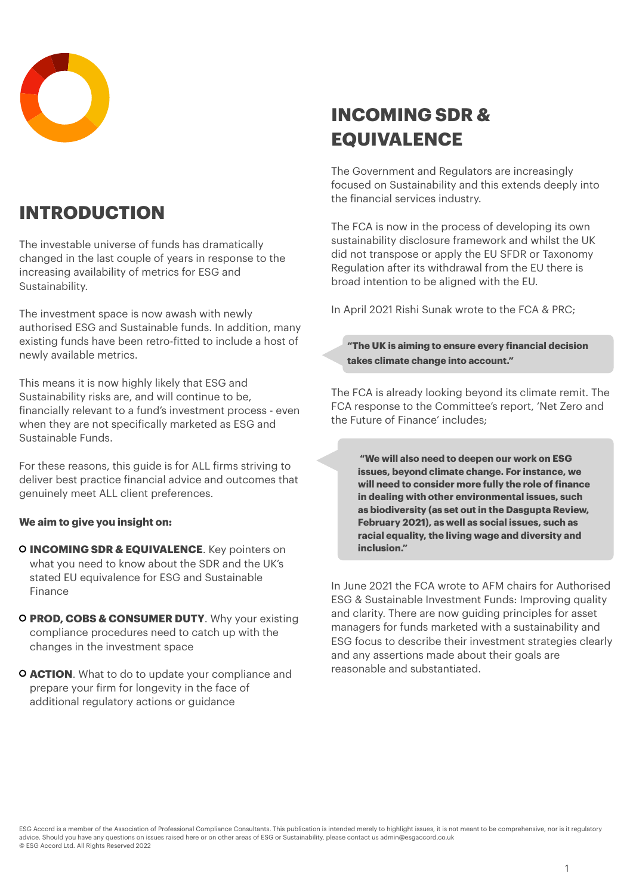

## **INTRODUCTION**

The investable universe of funds has dramatically changed in the last couple of years in response to the increasing availability of metrics for ESG and Sustainability.

The investment space is now awash with newly authorised ESG and Sustainable funds. In addition, many existing funds have been retro-fitted to include a host of newly available metrics.

This means it is now highly likely that ESG and Sustainability risks are, and will continue to be, financially relevant to a fund's investment process - even when they are not specifically marketed as ESG and Sustainable Funds.

For these reasons, this guide is for ALL firms striving to deliver best practice financial advice and outcomes that genuinely meet ALL client preferences.

#### **We aim to give you insight on:**

- **O INCOMING SDR & EQUIVALENCE**. Key pointers on what you need to know about the SDR and the UK's stated EU equivalence for ESG and Sustainable Finance
- **PROD, COBS & CONSUMER DUTY**. Why your existing compliance procedures need to catch up with the changes in the investment space
- **ACTION**. What to do to update your compliance and prepare your firm for longevity in the face of additional regulatory actions or guidance

## **INCOMING SDR & EQUIVALENCE**

The Government and Regulators are increasingly focused on Sustainability and this extends deeply into the financial services industry.

The FCA is now in the process of developing its own sustainability disclosure framework and whilst the UK did not transpose or apply the EU SFDR or Taxonomy Regulation after its withdrawal from the EU there is broad intention to be aligned with the EU.

In April 2021 Rishi Sunak wrote to the FCA & PRC;

**"The UK is aiming to ensure every financial decision takes climate change into account."**

The FCA is already looking beyond its climate remit. The FCA response to the Committee's report, 'Net Zero and the Future of Finance' includes;

**"We will also need to deepen our work on ESG issues, beyond climate change. For instance, we will need to consider more fully the role of finance in dealing with other environmental issues, such as biodiversity (as set out in the Dasgupta Review, February 2021), as well as social issues, such as racial equality, the living wage and diversity and inclusion."**

In June 2021 the FCA wrote to AFM chairs for Authorised ESG & Sustainable Investment Funds: Improving quality and clarity. There are now guiding principles for asset managers for funds marketed with a sustainability and ESG focus to describe their investment strategies clearly and any assertions made about their goals are reasonable and substantiated.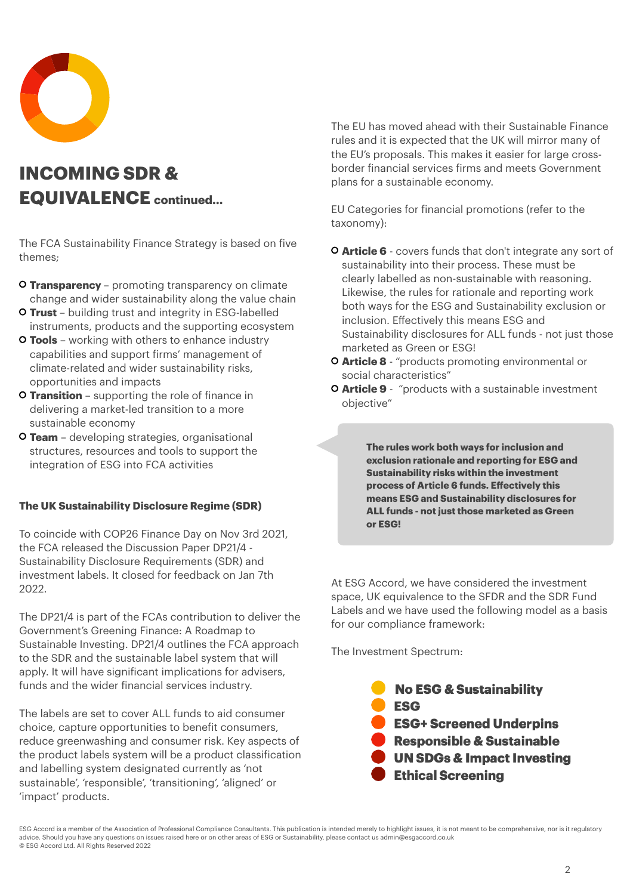

## **INCOMING SDR & EQUIVALENCE continued…**

The FCA Sustainability Finance Strategy is based on five themes;

- **Transparency** promoting transparency on climate change and wider sustainability along the value chain
- **Trust** building trust and integrity in ESG-labelled instruments, products and the supporting ecosystem
- **Tools** working with others to enhance industry capabilities and support firms' management of climate-related and wider sustainability risks, opportunities and impacts
- **Transition** supporting the role of finance in delivering a market-led transition to a more sustainable economy
- **Team** developing strategies, organisational structures, resources and tools to support the integration of ESG into FCA activities

#### **The UK Sustainability Disclosure Regime (SDR)**

To coincide with COP26 Finance Day on Nov 3rd 2021, the FCA released the Discussion Paper DP21/4 - Sustainability Disclosure Requirements (SDR) and investment labels. It closed for feedback on Jan 7th 2022.

The DP21/4 is part of the FCAs contribution to deliver the Government's Greening Finance: A Roadmap to Sustainable Investing. DP21/4 outlines the FCA approach to the SDR and the sustainable label system that will apply. It will have significant implications for advisers, funds and the wider financial services industry.

The labels are set to cover ALL funds to aid consumer choice, capture opportunities to benefit consumers, reduce greenwashing and consumer risk. Key aspects of the product labels system will be a product classification and labelling system designated currently as 'not sustainable', 'responsible', 'transitioning', 'aligned' or 'impact' products.

The EU has moved ahead with their Sustainable Finance rules and it is expected that the UK will mirror many of the EU's proposals. This makes it easier for large crossborder financial services firms and meets Government plans for a sustainable economy.

EU Categories for financial promotions (refer to the taxonomy):

- **Article 6** covers funds that don't integrate any sort of sustainability into their process. These must be clearly labelled as non-sustainable with reasoning. Likewise, the rules for rationale and reporting work both ways for the ESG and Sustainability exclusion or inclusion. Effectively this means ESG and Sustainability disclosures for ALL funds - not just those marketed as Green or ESG!
- **Article 8** "products promoting environmental or social characteristics"
- **Article 9** "products with a sustainable investment objective"

**The rules work both ways for inclusion and exclusion rationale and reporting for ESG and Sustainability risks within the investment process of Article 6 funds. Effectively this means ESG and Sustainability disclosures for ALL funds - not just those marketed as Green or ESG!**

At ESG Accord, we have considered the investment space, UK equivalence to the SFDR and the SDR Fund Labels and we have used the following model as a basis for our compliance framework:

The Investment Spectrum:

**No ESG & Sustainability** ESG **ESG+ Screened Underpins** Responsible & Sustainable **UN SDGs & Impact Investing Ethical Screening** 

ESG Accord is a member of the Association of Professional Compliance Consultants. This publication is intended merely to highlight issues, it is not meant to be comprehensive, nor is it regulatory advice. Should you have any questions on issues raised here or on other areas of ESG or Sustainability, please contact us [admin@esgaccord.co.uk](mailto:admin@esgaccord.co.uk) © ESG Accord Ltd. All Rights Reserved 2022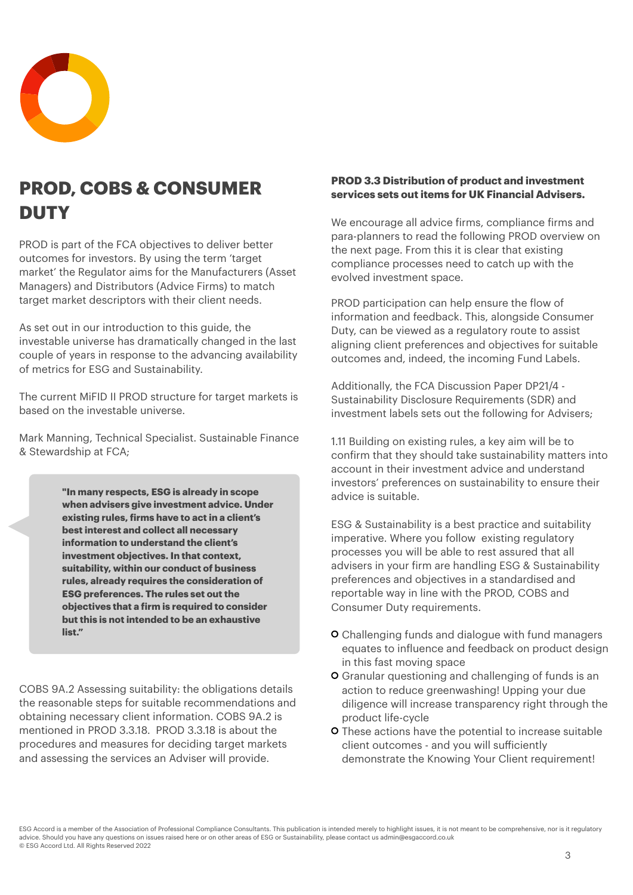

## **PROD, COBS & CONSUMER DUTY**

PROD is part of the FCA objectives to deliver better outcomes for investors. By using the term 'target market' the Regulator aims for the Manufacturers (Asset Managers) and Distributors (Advice Firms) to match target market descriptors with their client needs.

As set out in our introduction to this guide, the investable universe has dramatically changed in the last couple of years in response to the advancing availability of metrics for ESG and Sustainability.

The current MiFID II PROD structure for target markets is based on the investable universe.

Mark Manning, Technical Specialist. Sustainable Finance & Stewardship at FCA;

> **"In many respects, ESG is already in scope when advisers give investment advice. Under existing rules, firms have to act in a client's best interest and collect all necessary information to understand the client's investment objectives. In that context, suitability, within our conduct of business rules, already requires the consideration of ESG preferences. The rules set out the objectives that a firm is required to consider but this is not intended to be an exhaustive list."**

COBS 9A.2 Assessing suitability: the obligations details the reasonable steps for suitable recommendations and obtaining necessary client information. COBS 9A.2 is mentioned in PROD 3.3.18. PROD 3.3.18 is about the procedures and measures for deciding target markets and assessing the services an Adviser will provide.

#### **PROD 3.3 Distribution of product and investment services sets out items for UK Financial Advisers.**

We encourage all advice firms, compliance firms and para-planners to read the following PROD overview on the next page. From this it is clear that existing compliance processes need to catch up with the evolved investment space.

PROD participation can help ensure the flow of information and feedback. This, alongside Consumer Duty, can be viewed as a regulatory route to assist aligning client preferences and objectives for suitable outcomes and, indeed, the incoming Fund Labels.

Additionally, the FCA Discussion Paper DP21/4 - Sustainability Disclosure Requirements (SDR) and investment labels sets out the following for Advisers;

1.11 Building on existing rules, a key aim will be to confirm that they should take sustainability matters into account in their investment advice and understand investors' preferences on sustainability to ensure their advice is suitable.

ESG & Sustainability is a best practice and suitability imperative. Where you follow existing regulatory processes you will be able to rest assured that all advisers in your firm are handling ESG & Sustainability preferences and objectives in a standardised and reportable way in line with the PROD, COBS and Consumer Duty requirements.

- **O** Challenging funds and dialogue with fund managers equates to influence and feedback on product design in this fast moving space
- Granular questioning and challenging of funds is an action to reduce greenwashing! Upping your due diligence will increase transparency right through the product life-cycle
- These actions have the potential to increase suitable client outcomes - and you will sufficiently demonstrate the Knowing Your Client requirement!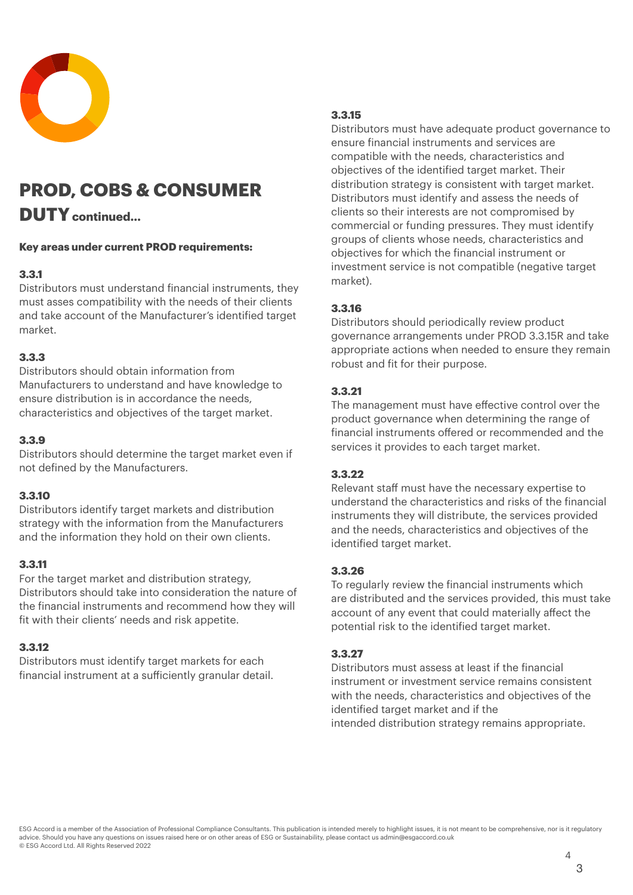

## **PROD, COBS & CONSUMER**

## **DUTYcontinued…**

#### **Key areas under current PROD requirements:**

### **3.3.1**

Distributors must understand financial instruments, they must asses compatibility with the needs of their clients and take account of the Manufacturer's identified target market.

### **3.3.3**

Distributors should obtain information from Manufacturers to understand and have knowledge to ensure distribution is in accordance the needs, characteristics and objectives of the target market.

### **3.3.9**

Distributors should determine the target market even if not defined by the Manufacturers.

### **3.3.10**

Distributors identify target markets and distribution strategy with the information from the Manufacturers and the information they hold on their own clients.

### **3.3.11**

For the target market and distribution strategy, Distributors should take into consideration the nature of the financial instruments and recommend how they will fit with their clients' needs and risk appetite.

### **3.3.12**

Distributors must identify target markets for each financial instrument at a sufficiently granular detail.

## **3.3.15**

Distributors must have adequate product governance to ensure financial instruments and services are compatible with the needs, characteristics and objectives of the identified target market. Their distribution strategy is consistent with target market. Distributors must identify and assess the needs of clients so their interests are not compromised by commercial or funding pressures. They must identify groups of clients whose needs, characteristics and objectives for which the financial instrument or investment service is not compatible (negative target market).

## **3.3.16**

[Distributors](https://www.handbook.fca.org.uk/handbook/glossary/G3563d.html?date=2018-04-01) should periodically review product governance arrangements under [PROD 3.3.15R](https://www.handbook.fca.org.uk/handbook/PROD/3/3.html?date=2018-04-01#D126) and take appropriate actions when needed to ensure they remain robust and fit for their purpose.

### **3.3.21**

The management must have effective control over the product governance when determining the range of financial instruments offered or recommended and the services it provides to each target market.

### **3.3.22**

Relevant staff must have the necessary expertise to understand the characteristics and risks of the financial instruments they will distribute, the services provided and the needs, characteristics and objectives of the identified target market.

### **3.3.26**

To regularly review the f[inancial instruments](https://www.handbook.fca.org.uk/handbook/glossary/G1519.html?date=2018-04-01) which are [distributed](https://www.handbook.fca.org.uk/handbook/glossary/G3562d.html?date=2018-04-01) and the services provided, this must take account of any event that could materially affect the potential risk to the identified target market.

### **3.3.27**

Distributors must assess at least if the f[inancial](https://www.handbook.fca.org.uk/handbook/glossary/G1519.html?date=2018-04-01)  [instrument](https://www.handbook.fca.org.uk/handbook/glossary/G1519.html?date=2018-04-01) or [investment service](https://www.handbook.fca.org.uk/handbook/glossary/G603.html?date=2018-04-01) remains consistent with the needs, characteristics and objectives of the identified target market and if the intended [distribution](https://www.handbook.fca.org.uk/handbook/glossary/G3562d.html?date=2018-04-01) strategy remains appropriate.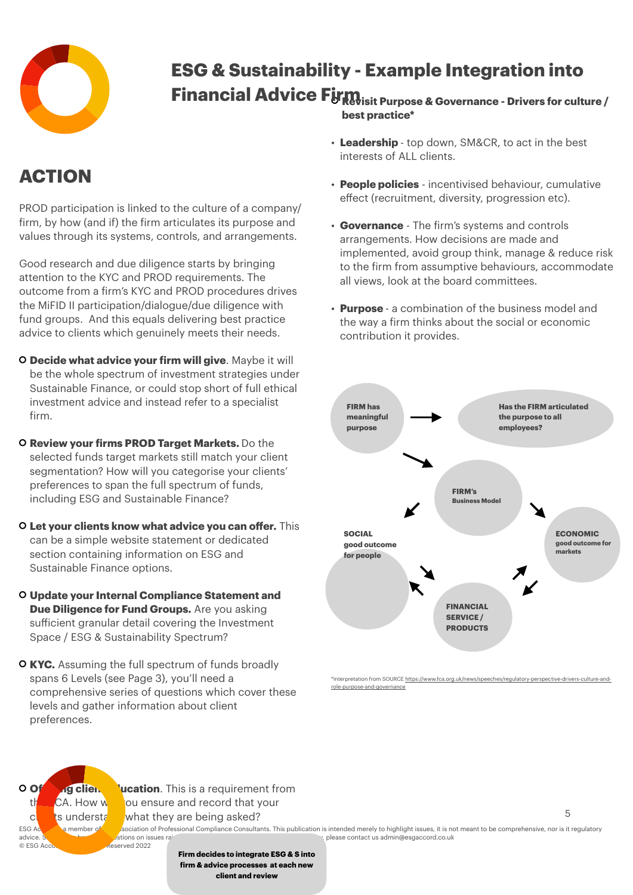

# **Financial Advice Firm**  $\frac{1}{2}$  **Figure 2** Governance - Drivers for culture / **ESG & Sustainability - Example Integration into**

**best practice\***

## **ACTION**

PROD participation is linked to the culture of a company/ firm, by how (and if) the firm articulates its purpose and values through its systems, controls, and arrangements.

Good research and due diligence starts by bringing attention to the KYC and PROD requirements. The outcome from a firm's KYC and PROD procedures drives the MiFID II participation/dialogue/due diligence with fund groups. And this equals delivering best practice advice to clients which genuinely meets their needs.

- **Decide what advice your firm will give**. Maybe it will be the whole spectrum of investment strategies under Sustainable Finance, or could stop short of full ethical investment advice and instead refer to a specialist firm.
- **Review your firms PROD Target Markets.** Do the selected funds target markets still match your client segmentation? How will you categorise your clients' preferences to span the full spectrum of funds, including ESG and Sustainable Finance?
- **Let your clients know what advice you can offer.** This can be a simple website statement or dedicated section containing information on ESG and Sustainable Finance options.
- **Update your Internal Compliance Statement and Due Diligence for Fund Groups.** Are you asking sufficient granular detail covering the Investment Space / ESG & Sustainability Spectrum?
- **KYC.** Assuming the full spectrum of funds broadly spans 6 Levels (see Page 3), you'll need a comprehensive series of questions which cover these levels and gather information about client preferences.
- **Leadership**  top down, SM&CR, to act in the best interests of ALL clients.
- **People policies** incentivised behaviour, cumulative effect (recruitment, diversity, progression etc).
- **Governance** The firm's systems and controls arrangements. How decisions are made and implemented, avoid group think, manage & reduce risk to the firm from assumptive behaviours, accommodate all views, look at the board committees.
- **Purpose**  a combination of the business model and the way a firm thinks about the social or economic contribution it provides.



\*Interpretation from SOURCE http: [role-purpose-and-governance](https://www.fca.org.uk/news/speeches/regulatory-perspective-drivers-culture-and-role-purpose-and-governance)



clast ts understally what they are being asked? ESG According the Association of Professional Compliance Consultants. This publication is intended merely to highlight issues, it is not meant to be comprehensive, nor is it regulatory<br>and a stion on issues rain and a stio advice. Showled the states raised here or on other areas of ESG or Sustainability, please contact us [admin@esgaccord.co.uk](mailto:admin@esgaccord.co.uk) 5

> **Firm decides to integrate ESG & S into firm & advice processes at each new client and review**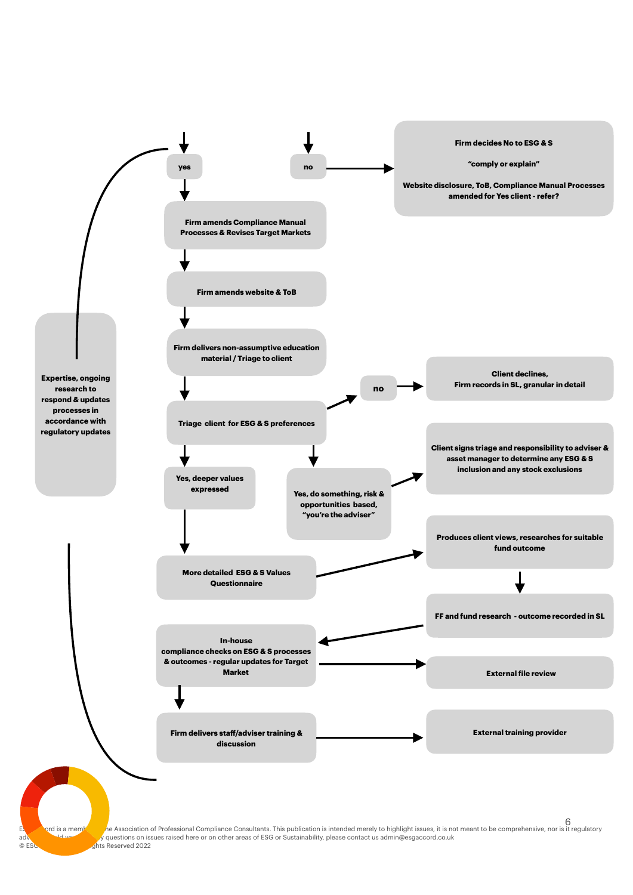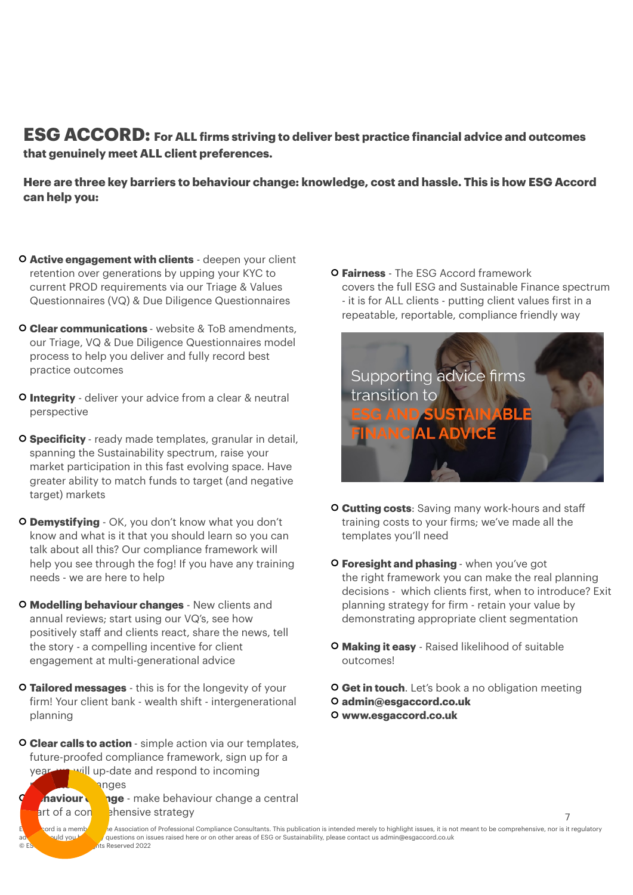**ESG ACCORD: For ALL firms striving to deliver best practice financial advice and outcomes that genuinely meet ALL client preferences.**

**Here are three key barriers to behaviour change: knowledge, cost and hassle. This is how ESG Accord can help you:**

- **Active engagement with clients** deepen your client retention over generations by upping your KYC to current PROD requirements via our Triage & Values Questionnaires (VQ) & Due Diligence Questionnaires
- **Clear communications**  website & ToB amendments, our Triage, VQ & Due Diligence Questionnaires model process to help you deliver and fully record best practice outcomes
- **Integrity** deliver your advice from a clear & neutral perspective
- **Specificity**  ready made templates, granular in detail, spanning the Sustainability spectrum, raise your market participation in this fast evolving space. Have greater ability to match funds to target (and negative target) markets
- **Demystifying** OK, you don't know what you don't know and what is it that you should learn so you can talk about all this? Our compliance framework will help you see through the fog! If you have any training needs - we are here to help
- **Modelling behaviour changes** New clients and annual reviews; start using our VQ's, see how positively staff and clients react, share the news, tell the story - a compelling incentive for client engagement at multi-generational advice
- **Tailored messages** this is for the longevity of your firm! Your client bank - wealth shift - intergenerational planning
- **Clear calls to action**  simple action via our templates, future-proofed compliance framework, sign up for a year, will up-date and respond to incoming

anges **Braviour change** - make behaviour change a central art of a con shensive strategy

**Fairness** - The ESG Accord framework covers the full ESG and Sustainable Finance spectrum - it is for ALL clients - putting client values first in a repeatable, reportable, compliance friendly way



- **Cutting costs**: Saving many work-hours and staff training costs to your firms; we've made all the templates you'll need
- **Foresight and phasing**  when you've got the right framework you can make the real planning decisions - which clients first, when to introduce? Exit planning strategy for firm - retain your value by demonstrating appropriate client segmentation
- **Making it easy** Raised likelihood of suitable outcomes!

**Get in touch**. Let's book a no obligation meeting **[admin@esgaccord.co.uk](mailto:lee@esgaccord.co.uk)  [www.esgaccord.co.uk](http://www.esgaccord.co.uk)**

7

rd is a member of a Association of Professional Compliance Consultants. This publication is intended merely to highlight issues, it is not meant to be comprehensive, nor is it regulatory auld you have any questions on issues raised here or on other areas of ESG or Sustainability, please contact us [admin@esgaccord.co.uk](mailto:admin@esgaccord.co.uk) © ESC Accord Ltd. All Rights Reserved 2022